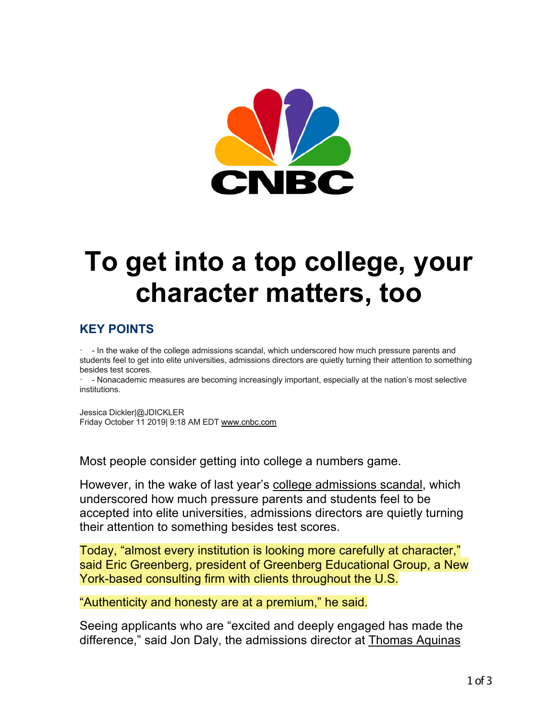

## **To get into a top college, your character matters, too**

## **KEY POINTS**

· - In the wake of the college admissions scandal, which underscored how much pressure parents and students feel to get into elite universities, admissions directors are quietly turning their attention to something besides test scores.

· - Nonacademic measures are becoming increasingly important, especially at the nation's most selective institutions.

Jessica Dickler|@JDICKLER Friday October 11 2019| 9:18 AM EDT www.cnbc.com

Most people consider getting into college a numbers game.

However, in the wake of last year's college admissions scandal, which underscored how much pressure parents and students feel to be accepted into elite universities, admissions directors are quietly turning their attention to something besides test scores.

Today, "almost every institution is looking more carefully at character," said Eric Greenberg, president of Greenberg Educational Group, a New York-based consulting firm with clients throughout the U.S.

"Authenticity and honesty are at a premium," he said.

Seeing applicants who are "excited and deeply engaged has made the difference," said Jon Daly, the admissions director at Thomas Aquinas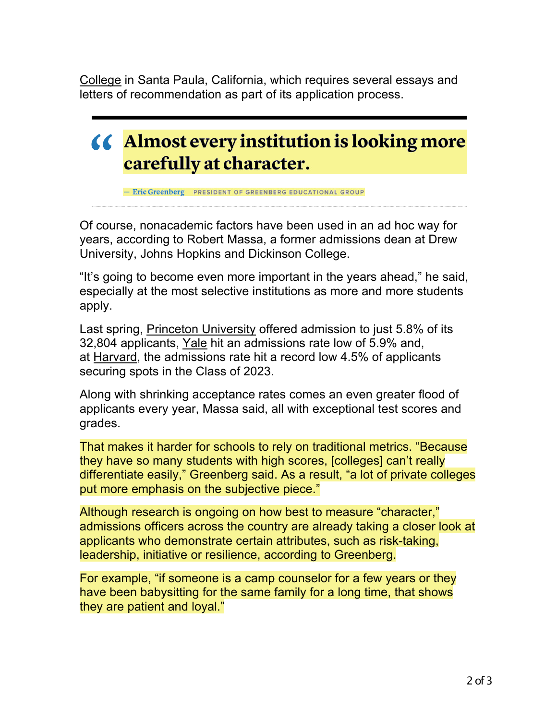College in Santa Paula, California, which requires several essays and letters of recommendation as part of its application process.

## **44 Almost every institution is looking more** carefully at character.

- Eric Greenberg PRESIDENT OF GREENBERG EDUCATIONAL GROUP

Of course, nonacademic factors have been used in an ad hoc way for years, according to Robert Massa, a former admissions dean at Drew University, Johns Hopkins and Dickinson College.

"It's going to become even more important in the years ahead," he said, especially at the most selective institutions as more and more students apply.

Last spring, Princeton University offered admission to just 5.8% of its 32,804 applicants, Yale hit an admissions rate low of 5.9% and, at Harvard, the admissions rate hit a record low 4.5% of applicants securing spots in the Class of 2023.

Along with shrinking acceptance rates comes an even greater flood of applicants every year, Massa said, all with exceptional test scores and grades.

That makes it harder for schools to rely on traditional metrics. "Because they have so many students with high scores, [colleges] can't really differentiate easily," Greenberg said. As a result, "a lot of private colleges put more emphasis on the subjective piece."

Although research is ongoing on how best to measure "character," admissions officers across the country are already taking a closer look at applicants who demonstrate certain attributes, such as risk-taking, leadership, initiative or resilience, according to Greenberg.

For example, "if someone is a camp counselor for a few years or they have been babysitting for the same family for a long time, that shows they are patient and loyal."